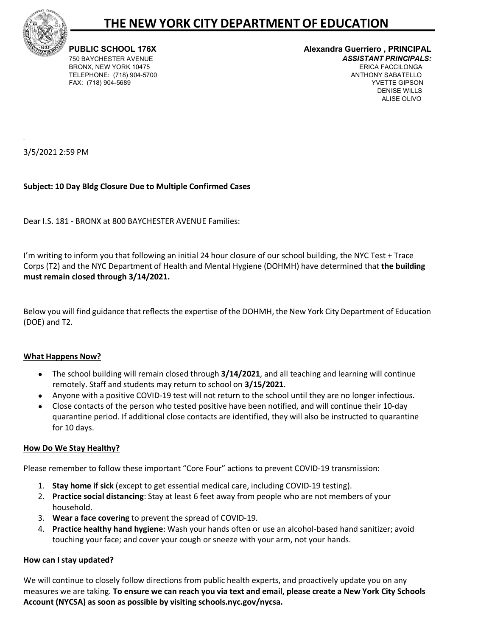

# **THE NEW YORK CITY DEPARTMENTOF EDUCATION**

TELEPHONE: (718) 904-5700

## **PUBLIC SCHOOL 176X Alexandra Guerriero , PRINCIPAL**  750 BAYCHESTER AVENUE *ASSISTANT PRINCIPALS:*  BRONX, NEW YORK 10475 ERICA FACCILONGA FAX: (718) 904-5689 YVETTE GIPSON DENISE WILLS ALISE OLIVO

3/5/2021 2:59 PM

# **Subject: 10 Day Bldg Closure Due to Multiple Confirmed Cases**

Dear I.S. 181 - BRONX at 800 BAYCHESTER AVENUE Families:

I'm writing to inform you that following an initial 24 hour closure of our school building, the NYC Test + Trace Corps (T2) and the NYC Department of Health and Mental Hygiene (DOHMH) have determined that **the building must remain closed through 3/14/2021.**

Below you will find guidance that reflects the expertise of the DOHMH, the New York City Department of Education (DOE) and T2.

## **What Happens Now?**

- The school building will remain closed through **3/14/2021**, and all teaching and learning will continue remotely. Staff and students may return to school on **3/15/2021**.
- Anyone with a positive COVID-19 test will not return to the school until they are no longer infectious.
- Close contacts of the person who tested positive have been notified, and will continue their 10-day quarantine period. If additional close contacts are identified, they will also be instructed to quarantine for 10 days.

# **How Do We Stay Healthy?**

Please remember to follow these important "Core Four" actions to prevent COVID-19 transmission:

- 1. **Stay home if sick** (except to get essential medical care, including COVID-19 testing).
- 2. **Practice social distancing**: Stay at least 6 feet away from people who are not members of your household.
- 3. **Wear a face covering** to prevent the spread of COVID-19.
- 4. **Practice healthy hand hygiene**: Wash your hands often or use an alcohol-based hand sanitizer; avoid touching your face; and cover your cough or sneeze with your arm, not your hands.

## **How can I stay updated?**

We will continue to closely follow directions from public health experts, and proactively update you on any measures we are taking. **To ensure we can reach you via text and email, please create a New York City Schools Account (NYCSA) as soon as possible by visiting schools.nyc.gov/nycsa.**